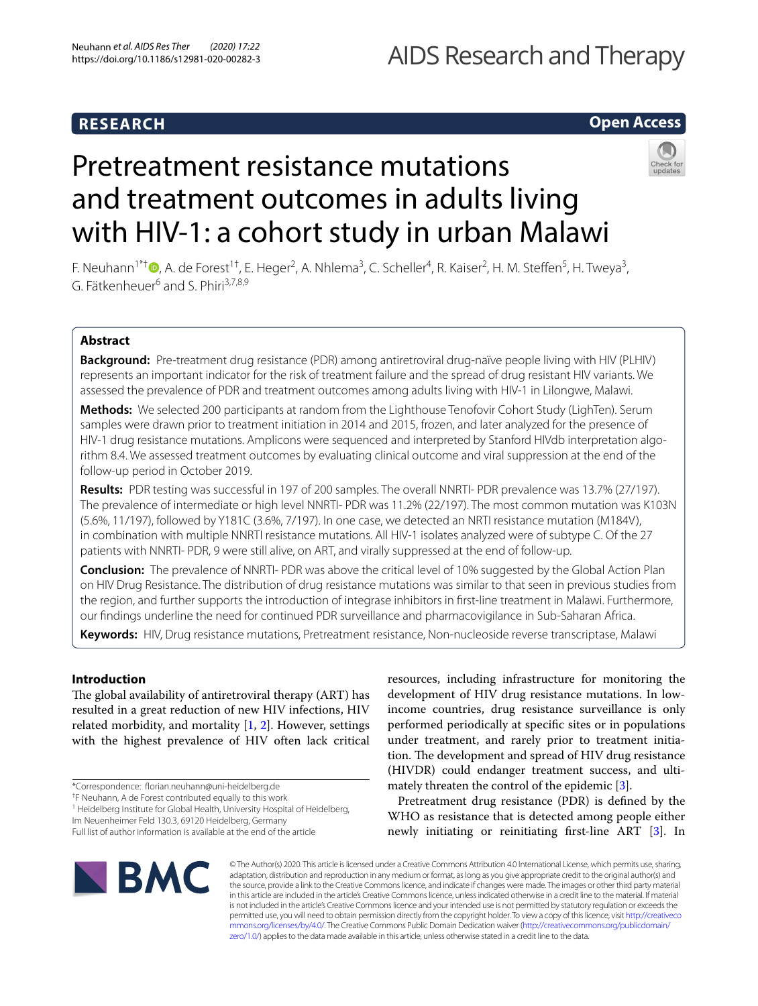# AIDS Research and Therapy

# **Open Access**

# Pretreatment resistance mutations and treatment outcomes in adults living with HIV-1: a cohort study in urban Malawi



F. Neuhann<sup>1\*†</sup> **D**[,](http://orcid.org/0000-0001-5944-1597) A. de Forest<sup>1†</sup>, E. Heger<sup>2</sup>, A. Nhlema<sup>3</sup>, C. Scheller<sup>4</sup>, R. Kaiser<sup>2</sup>, H. M. Steffen<sup>5</sup>, H. Tweya<sup>3</sup>, G. Fätkenheuer<sup>6</sup> and S. Phiri<sup>3,7,8,9</sup>

# **Abstract**

**Background:** Pre-treatment drug resistance (PDR) among antiretroviral drug-naïve people living with HIV (PLHIV) represents an important indicator for the risk of treatment failure and the spread of drug resistant HIV variants. We assessed the prevalence of PDR and treatment outcomes among adults living with HIV-1 in Lilongwe, Malawi.

**Methods:** We selected 200 participants at random from the Lighthouse Tenofovir Cohort Study (LighTen). Serum samples were drawn prior to treatment initiation in 2014 and 2015, frozen, and later analyzed for the presence of HIV-1 drug resistance mutations. Amplicons were sequenced and interpreted by Stanford HIVdb interpretation algorithm 8.4. We assessed treatment outcomes by evaluating clinical outcome and viral suppression at the end of the follow-up period in October 2019.

**Results:** PDR testing was successful in 197 of 200 samples. The overall NNRTI- PDR prevalence was 13.7% (27/197). The prevalence of intermediate or high level NNRTI- PDR was 11.2% (22/197). The most common mutation was K103N (5.6%, 11/197), followed by Y181C (3.6%, 7/197). In one case, we detected an NRTI resistance mutation (M184V), in combination with multiple NNRTI resistance mutations. All HIV-1 isolates analyzed were of subtype C. Of the 27 patients with NNRTI- PDR, 9 were still alive, on ART, and virally suppressed at the end of follow-up.

**Conclusion:** The prevalence of NNRTI- PDR was above the critical level of 10% suggested by the Global Action Plan on HIV Drug Resistance. The distribution of drug resistance mutations was similar to that seen in previous studies from the region, and further supports the introduction of integrase inhibitors in frst-line treatment in Malawi. Furthermore, our fndings underline the need for continued PDR surveillance and pharmacovigilance in Sub-Saharan Africa.

**Keywords:** HIV, Drug resistance mutations, Pretreatment resistance, Non-nucleoside reverse transcriptase, Malawi

# **Introduction**

The global availability of antiretroviral therapy (ART) has resulted in a great reduction of new HIV infections, HIV related morbidity, and mortality  $[1, 2]$  $[1, 2]$  $[1, 2]$  $[1, 2]$ . However, settings with the highest prevalence of HIV often lack critical

\*Correspondence: forian.neuhann@uni-heidelberg.de

† F Neuhann, A de Forest contributed equally to this work

<sup>1</sup> Heidelberg Institute for Global Health, University Hospital of Heidelberg, Im Neuenheimer Feld 130.3, 69120 Heidelberg, Germany

Full list of author information is available at the end of the article

resources, including infrastructure for monitoring the development of HIV drug resistance mutations. In lowincome countries, drug resistance surveillance is only performed periodically at specifc sites or in populations under treatment, and rarely prior to treatment initiation. The development and spread of HIV drug resistance (HIVDR) could endanger treatment success, and ultimately threaten the control of the epidemic [[3\]](#page-5-2).

Pretreatment drug resistance (PDR) is defned by the WHO as resistance that is detected among people either newly initiating or reinitiating frst-line ART [\[3](#page-5-2)]. In



© The Author(s) 2020. This article is licensed under a Creative Commons Attribution 4.0 International License, which permits use, sharing, adaptation, distribution and reproduction in any medium or format, as long as you give appropriate credit to the original author(s) and the source, provide a link to the Creative Commons licence, and indicate if changes were made. The images or other third party material in this article are included in the article's Creative Commons licence, unless indicated otherwise in a credit line to the material. If material is not included in the article's Creative Commons licence and your intended use is not permitted by statutory regulation or exceeds the permitted use, you will need to obtain permission directly from the copyright holder. To view a copy of this licence, visit [http://creativeco](http://creativecommons.org/licenses/by/4.0/) [mmons.org/licenses/by/4.0/.](http://creativecommons.org/licenses/by/4.0/) The Creative Commons Public Domain Dedication waiver ([http://creativecommons.org/publicdomain/](http://creativecommons.org/publicdomain/zero/1.0/) [zero/1.0/\)](http://creativecommons.org/publicdomain/zero/1.0/) applies to the data made available in this article, unless otherwise stated in a credit line to the data.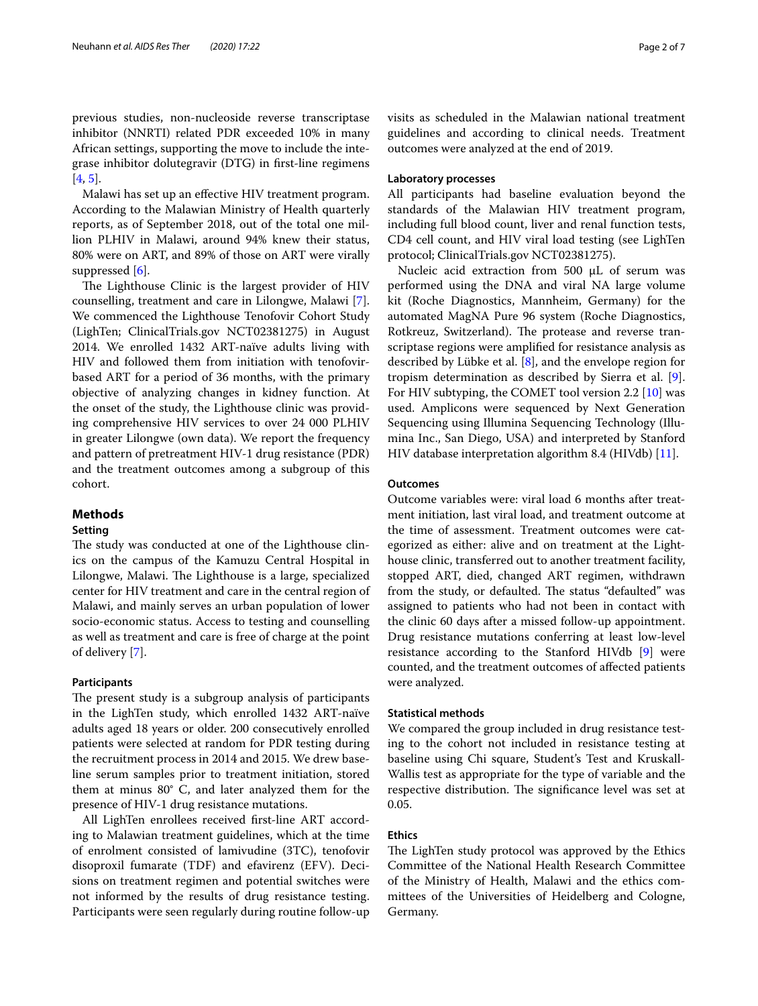previous studies, non-nucleoside reverse transcriptase inhibitor (NNRTI) related PDR exceeded 10% in many African settings, supporting the move to include the integrase inhibitor dolutegravir (DTG) in frst-line regimens [[4,](#page-5-3) [5](#page-5-4)].

Malawi has set up an efective HIV treatment program. According to the Malawian Ministry of Health quarterly reports, as of September 2018, out of the total one million PLHIV in Malawi, around 94% knew their status, 80% were on ART, and 89% of those on ART were virally suppressed [[6\]](#page-5-5).

The Lighthouse Clinic is the largest provider of HIV counselling, treatment and care in Lilongwe, Malawi [\[7](#page-5-6)]. We commenced the Lighthouse Tenofovir Cohort Study (LighTen; ClinicalTrials.gov NCT02381275) in August 2014. We enrolled 1432 ART-naïve adults living with HIV and followed them from initiation with tenofovirbased ART for a period of 36 months, with the primary objective of analyzing changes in kidney function. At the onset of the study, the Lighthouse clinic was providing comprehensive HIV services to over 24 000 PLHIV in greater Lilongwe (own data). We report the frequency and pattern of pretreatment HIV-1 drug resistance (PDR) and the treatment outcomes among a subgroup of this cohort.

# **Methods**

# **Setting**

The study was conducted at one of the Lighthouse clinics on the campus of the Kamuzu Central Hospital in Lilongwe, Malawi. The Lighthouse is a large, specialized center for HIV treatment and care in the central region of Malawi, and mainly serves an urban population of lower socio-economic status. Access to testing and counselling as well as treatment and care is free of charge at the point of delivery [[7\]](#page-5-6).

### **Participants**

The present study is a subgroup analysis of participants in the LighTen study, which enrolled 1432 ART-naïve adults aged 18 years or older. 200 consecutively enrolled patients were selected at random for PDR testing during the recruitment process in 2014 and 2015. We drew baseline serum samples prior to treatment initiation, stored them at minus 80° C, and later analyzed them for the presence of HIV-1 drug resistance mutations.

All LighTen enrollees received frst-line ART according to Malawian treatment guidelines, which at the time of enrolment consisted of lamivudine (3TC), tenofovir disoproxil fumarate (TDF) and efavirenz (EFV). Decisions on treatment regimen and potential switches were not informed by the results of drug resistance testing. Participants were seen regularly during routine follow-up visits as scheduled in the Malawian national treatment guidelines and according to clinical needs. Treatment outcomes were analyzed at the end of 2019.

# **Laboratory processes**

All participants had baseline evaluation beyond the standards of the Malawian HIV treatment program, including full blood count, liver and renal function tests, CD4 cell count, and HIV viral load testing (see LighTen protocol; ClinicalTrials.gov NCT02381275).

Nucleic acid extraction from 500 µL of serum was performed using the DNA and viral NA large volume kit (Roche Diagnostics, Mannheim, Germany) for the automated MagNA Pure 96 system (Roche Diagnostics, Rotkreuz, Switzerland). The protease and reverse transcriptase regions were amplifed for resistance analysis as described by Lübke et al. [[8\]](#page-5-7), and the envelope region for tropism determination as described by Sierra et al. [\[9](#page-5-8)]. For HIV subtyping, the COMET tool version 2.2 [[10\]](#page-5-9) was used. Amplicons were sequenced by Next Generation Sequencing using Illumina Sequencing Technology (Illumina Inc., San Diego, USA) and interpreted by Stanford HIV database interpretation algorithm 8.4 (HIVdb) [\[11](#page-5-10)].

# **Outcomes**

Outcome variables were: viral load 6 months after treatment initiation, last viral load, and treatment outcome at the time of assessment. Treatment outcomes were categorized as either: alive and on treatment at the Lighthouse clinic, transferred out to another treatment facility, stopped ART, died, changed ART regimen, withdrawn from the study, or defaulted. The status "defaulted" was assigned to patients who had not been in contact with the clinic 60 days after a missed follow-up appointment. Drug resistance mutations conferring at least low-level resistance according to the Stanford HIVdb [\[9](#page-5-8)] were counted, and the treatment outcomes of afected patients were analyzed.

# **Statistical methods**

We compared the group included in drug resistance testing to the cohort not included in resistance testing at baseline using Chi square, Student's Test and Kruskall-Wallis test as appropriate for the type of variable and the respective distribution. The significance level was set at 0.05.

# **Ethics**

The LighTen study protocol was approved by the Ethics Committee of the National Health Research Committee of the Ministry of Health, Malawi and the ethics committees of the Universities of Heidelberg and Cologne, Germany.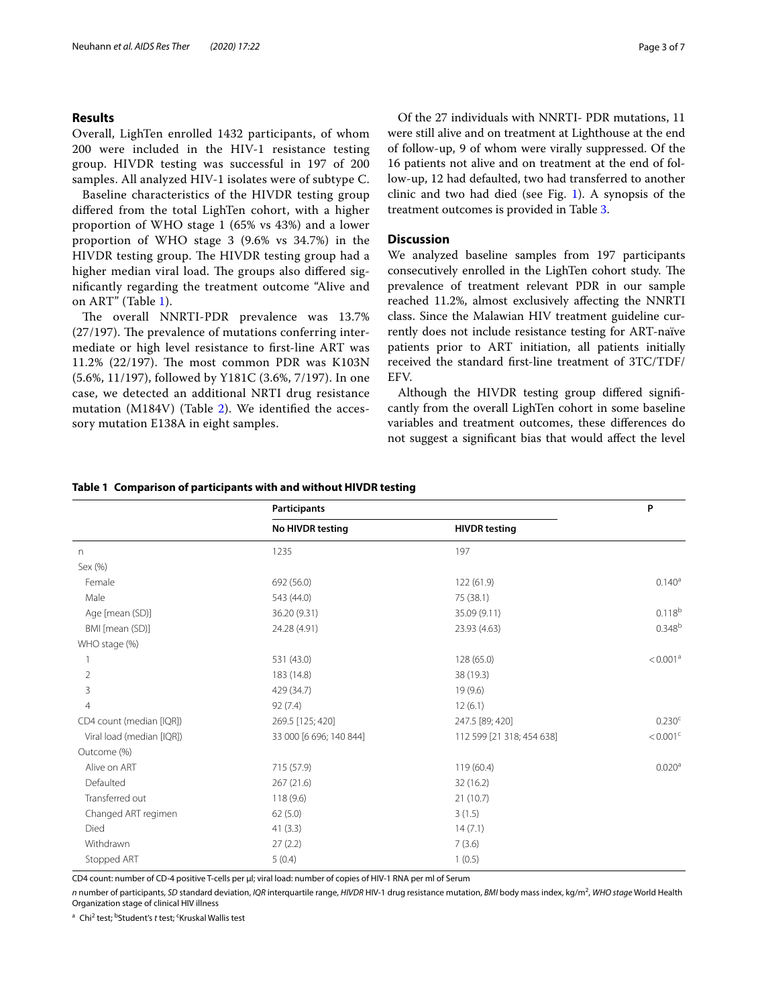# **Results**

Overall, LighTen enrolled 1432 participants, of whom 200 were included in the HIV-1 resistance testing group. HIVDR testing was successful in 197 of 200 samples. All analyzed HIV-1 isolates were of subtype C.

Baseline characteristics of the HIVDR testing group difered from the total LighTen cohort, with a higher proportion of WHO stage 1 (65% vs 43%) and a lower proportion of WHO stage 3 (9.6% vs 34.7%) in the HIVDR testing group. The HIVDR testing group had a higher median viral load. The groups also differed signifcantly regarding the treatment outcome "Alive and on ART" (Table [1\)](#page-2-0).

The overall NNRTI-PDR prevalence was 13.7%  $(27/197)$ . The prevalence of mutations conferring intermediate or high level resistance to frst-line ART was 11.2% (22/197). The most common PDR was K103N (5.6%, 11/197), followed by Y181C (3.6%, 7/197). In one case, we detected an additional NRTI drug resistance mutation (M184V) (Table [2](#page-3-0)). We identified the accessory mutation E138A in eight samples.

Of the 27 individuals with NNRTI- PDR mutations, 11 were still alive and on treatment at Lighthouse at the end of follow-up, 9 of whom were virally suppressed. Of the 16 patients not alive and on treatment at the end of follow-up, 12 had defaulted, two had transferred to another clinic and two had died (see Fig. [1](#page-3-1)). A synopsis of the treatment outcomes is provided in Table [3.](#page-4-0)

## **Discussion**

We analyzed baseline samples from 197 participants consecutively enrolled in the LighTen cohort study. The prevalence of treatment relevant PDR in our sample reached 11.2%, almost exclusively afecting the NNRTI class. Since the Malawian HIV treatment guideline currently does not include resistance testing for ART-naïve patients prior to ART initiation, all patients initially received the standard frst-line treatment of 3TC/TDF/ EFV.

Although the HIVDR testing group difered signifcantly from the overall LighTen cohort in some baseline variables and treatment outcomes, these diferences do not suggest a signifcant bias that would afect the level

|                           | Participants            |                           | P                    |
|---------------------------|-------------------------|---------------------------|----------------------|
|                           | No HIVDR testing        | <b>HIVDR</b> testing      |                      |
| n                         | 1235                    | 197                       |                      |
| Sex (%)                   |                         |                           |                      |
| Female                    | 692 (56.0)              | 122 (61.9)                | $0.140^a$            |
| Male                      | 543 (44.0)              | 75 (38.1)                 |                      |
| Age [mean (SD)]           | 36.20 (9.31)            | 35.09 (9.11)              | $0.118^{b}$          |
| BMI [mean (SD)]           | 24.28 (4.91)            | 23.93 (4.63)              | $0.348^{b}$          |
| WHO stage (%)             |                         |                           |                      |
|                           | 531 (43.0)              | 128 (65.0)                | < 0.001 <sup>a</sup> |
| $\overline{2}$            | 183 (14.8)              | 38 (19.3)                 |                      |
| 3                         | 429 (34.7)              | 19 (9.6)                  |                      |
| $\overline{4}$            | 92(7.4)                 | 12(6.1)                   |                      |
| CD4 count (median [IQR])  | 269.5 [125; 420]        | 247.5 [89; 420]           | 0.230 <sup>c</sup>   |
| Viral load (median [IQR]) | 33 000 [6 696; 140 844] | 112 599 [21 318; 454 638] | < 0.001c             |
| Outcome (%)               |                         |                           |                      |
| Alive on ART              | 715 (57.9)              | 119 (60.4)                | 0.020 <sup>a</sup>   |
| Defaulted                 | 267 (21.6)              | 32 (16.2)                 |                      |
| Transferred out           | 118(9.6)                | 21(10.7)                  |                      |
| Changed ART regimen       | 62(5.0)                 | 3(1.5)                    |                      |
| Died                      | 41(3.3)                 | 14(7.1)                   |                      |
| Withdrawn                 | 27(2.2)                 | 7(3.6)                    |                      |
| Stopped ART               | 5(0.4)                  | 1(0.5)                    |                      |
|                           |                         |                           |                      |

#### <span id="page-2-0"></span>**Table 1 Comparison of participants with and without HIVDR testing**

CD4 count: number of CD-4 positive T-cells per µl; viral load: number of copies of HIV-1 RNA per ml of Serum

*n* number of participants, *SD* standard deviation, *IQR* interquartile range, *HIVDR* HIV-1 drug resistance mutation, *BMI* body mass index, kg/m2 , *WHO stage* World Health Organization stage of clinical HIV illness

<sup>a</sup> Chi<sup>2</sup> test; <sup>b</sup>Student's *t* test; <sup>c</sup>Kruskal Wallis test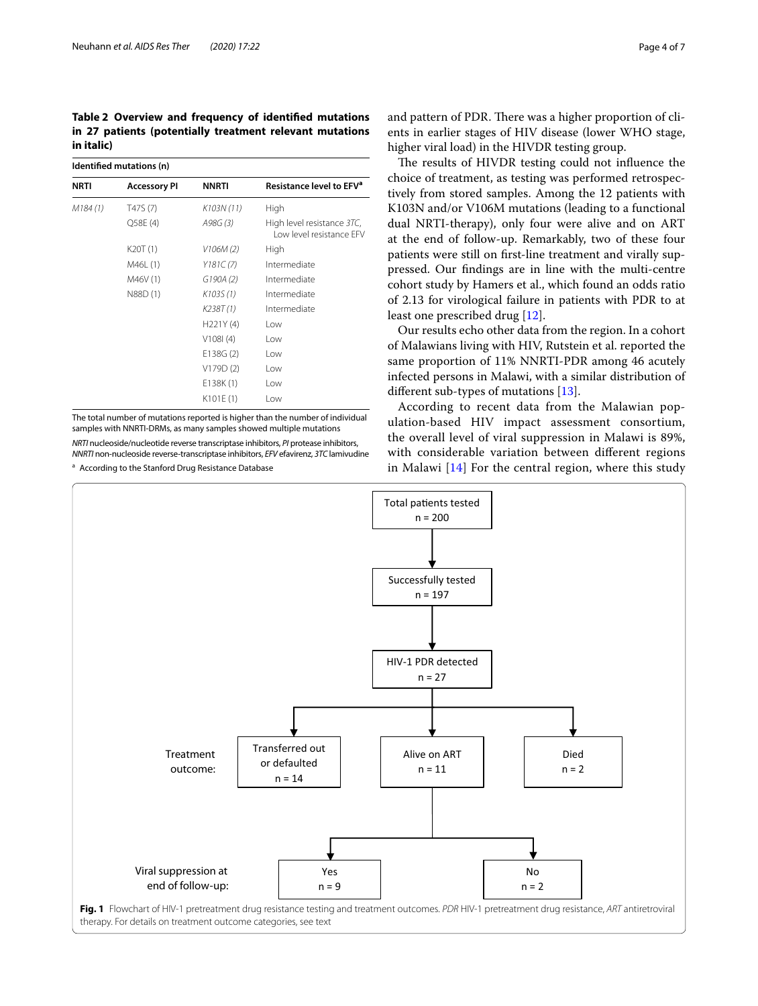<span id="page-3-0"></span>**Table 2 Overview and frequency of identifed mutations in 27 patients (potentially treatment relevant mutations in italic)**

|             | Identified mutations (n) |              |                                                        |
|-------------|--------------------------|--------------|--------------------------------------------------------|
| <b>NRTI</b> | <b>Accessory PI</b>      | <b>NNRTI</b> | Resistance level to EFV <sup>a</sup>                   |
| M184(1)     | T47S (7)                 | K103N (11)   | High                                                   |
|             | Q58E (4)                 | A98G(3)      | High level resistance 3TC,<br>Low level resistance FFV |
|             | K20T(1)                  | V106M(2)     | High                                                   |
|             | M46L (1)                 | Y181C(7)     | Intermediate                                           |
|             | M46V (1)                 | G190A(2)     | Intermediate                                           |
|             | N88D (1)                 | K103S (1)    | Intermediate                                           |
|             |                          | K238T(1)     | Intermediate                                           |
|             |                          | H221Y(4)     | Low                                                    |
|             |                          | V108I(4)     | Low                                                    |
|             |                          | E138G(2)     | Low                                                    |
|             |                          | V179D(2)     | Low                                                    |
|             |                          | E138K(1)     | Low                                                    |
|             |                          | K101E(1)     | Low                                                    |

The total number of mutations reported is higher than the number of individual samples with NNRTI-DRMs, as many samples showed multiple mutations *NRTI* nucleoside/nucleotide reverse transcriptase inhibitors, *PI* protease inhibitors, *NNRTI* non-nucleoside reverse-transcriptase inhibitors, *EFV* efavirenz, *3TC* lamivudine

According to the Stanford Drug Resistance Database

and pattern of PDR. There was a higher proportion of clients in earlier stages of HIV disease (lower WHO stage, higher viral load) in the HIVDR testing group.

The results of HIVDR testing could not influence the choice of treatment, as testing was performed retrospectively from stored samples. Among the 12 patients with K103N and/or V106M mutations (leading to a functional dual NRTI-therapy), only four were alive and on ART at the end of follow-up. Remarkably, two of these four patients were still on frst-line treatment and virally suppressed. Our fndings are in line with the multi-centre cohort study by Hamers et al., which found an odds ratio of 2.13 for virological failure in patients with PDR to at least one prescribed drug [[12](#page-5-11)].

Our results echo other data from the region. In a cohort of Malawians living with HIV, Rutstein et al. reported the same proportion of 11% NNRTI-PDR among 46 acutely infected persons in Malawi, with a similar distribution of diferent sub-types of mutations [\[13\]](#page-6-0).

According to recent data from the Malawian population-based HIV impact assessment consortium, the overall level of viral suppression in Malawi is 89%, with considerable variation between diferent regions in Malawi [[14\]](#page-6-1) For the central region, where this study

<span id="page-3-1"></span>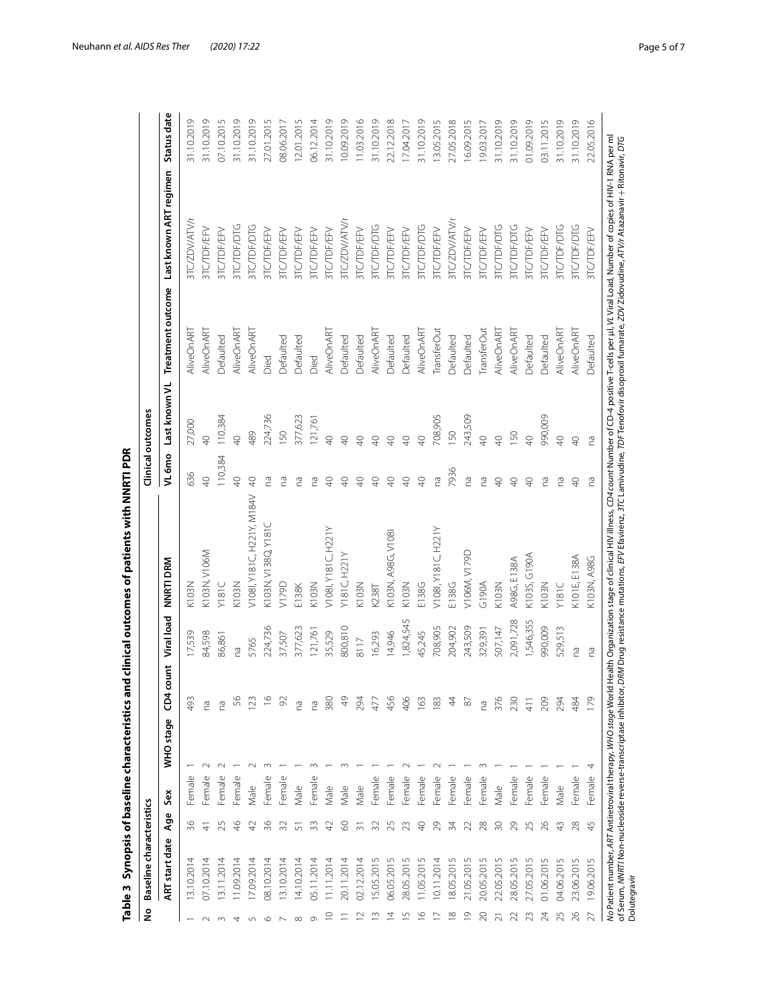<span id="page-4-0"></span>

| ş                        | Baseline characteristics                                                         |                |        |           |                           |            |                                                                                                                                                                                                                                                                                                                                                                              |                | Clinical outcomes |                   |                        |             |
|--------------------------|----------------------------------------------------------------------------------|----------------|--------|-----------|---------------------------|------------|------------------------------------------------------------------------------------------------------------------------------------------------------------------------------------------------------------------------------------------------------------------------------------------------------------------------------------------------------------------------------|----------------|-------------------|-------------------|------------------------|-------------|
|                          | <b>ART start date</b>                                                            | Age            | ŠêX    | WHO stage | ţ<br>S<br>CD <sub>4</sub> | Viral load | NNRTI DRM                                                                                                                                                                                                                                                                                                                                                                    | VL 6mo         | Last known VL     | Treatment outcome | Last known ART regimen | Status date |
|                          | 3.10.2014                                                                        | 36             | Female |           | 493                       | 17,539     | K103N                                                                                                                                                                                                                                                                                                                                                                        | 636            | 27,000            | AliveOnAR1        | 3TC/ZDV/ATV/r          | 31.10.2019  |
| $\sim$                   | 07.10.2014                                                                       | 근              | Female |           | ρç                        | 84,598     | K103N, V106M                                                                                                                                                                                                                                                                                                                                                                 | $\overline{P}$ | $\frac{1}{4}$     | AliveOnART        | 3TC/TDF/EFV            | 31.10.2019  |
| $\infty$                 | 13.11.2014                                                                       | 25             | Female |           | ΡÇ                        | 86,861     | Y181C                                                                                                                                                                                                                                                                                                                                                                        | 110,384        | 110,384           | Defaulted         | 3TC/TDF/EFV            | 07.10.2015  |
| 4                        | 11.09.2014                                                                       | $\frac{1}{2}$  | Female |           | 56                        | Ρã         | K103N                                                                                                                                                                                                                                                                                                                                                                        | $\mathcal{Q}$  | $\overline{Q}$    | AliveOnART        | <b>3TC/TDF/DTG</b>     | 31.10.2019  |
| $\sqrt{2}$               | 17.09.2014                                                                       | $\overline{4}$ | Male   | $\sim$    | 23                        | 5765       | V1081, Y181C, H221Y, M184V                                                                                                                                                                                                                                                                                                                                                   | $\Theta$       | 489               | AliveOnART        | 3ТС/ТDF/DTG            | 31.10.2019  |
| $\circ$                  | 08.10.2014                                                                       | 36             | Female |           |                           | 224,736    | K103N, V138Q, Y181C                                                                                                                                                                                                                                                                                                                                                          | Γã             | 224,736           | Died              | 3TC/TDF/EFV            | 27.01.2015  |
| $\overline{ }$           | 13.10.2014                                                                       | $\Im$          | Female |           | 92                        | 37,507     | <b>J621A</b>                                                                                                                                                                                                                                                                                                                                                                 | Γã             | 150               | Defaulted         | 3TC/TDF/EFV            | 08.06.2017  |
| $\infty$                 | 14.10.2014                                                                       | $\overline{5}$ | Male   |           | P                         | 377,623    | E138K                                                                                                                                                                                                                                                                                                                                                                        | 2°             | 377,623           | Defaulted         | <b>3TC/TDF/EFV</b>     | 12.01.2015  |
| $\circ$                  | 05.11.2014                                                                       | 33             | Female | m         | <b>P</b>                  | 121,761    | K103N                                                                                                                                                                                                                                                                                                                                                                        | 2°             | 121,761           | Died              | 3TC/TDF/EFV            | 06.12.2014  |
| $\circ$                  | 11.11.2014                                                                       | $\overline{4}$ | Male   |           | 380                       | 35,529     | V108I, Y181C, H221Y                                                                                                                                                                                                                                                                                                                                                          | $\Theta$       | $\Theta$          | AliveOnART        | <b>STC/TDF/EFV</b>     | 31.10.2019  |
|                          | 20.11.2014                                                                       | 8              | Male   | 3         | $\frac{1}{2}$             | 800,810    | Y181C, H221Y                                                                                                                                                                                                                                                                                                                                                                 | $\Theta$       | $\Theta$          | Defaulted         | 3TC/ZDV/ATV/r          | 10.09.2019  |
| $\sim$                   | 02.12.2014                                                                       | 등              | Male   |           | 294                       | 8117       | K103N                                                                                                                                                                                                                                                                                                                                                                        | $\Theta$       | $\overline{P}$    | Defaulted         | <b>3TC/TDF/EFV</b>     | 11.03.2016  |
| $\sim$                   | S<br>15.05.201                                                                   | 32             | Female |           | 477                       | 16,293     | K238T                                                                                                                                                                                                                                                                                                                                                                        | $\overline{a}$ | $\Theta$          | AliveOnAR7        | <b>3TC/TDF/DTG</b>     | 31.10.2019  |
| 4                        | S<br>06.05.201                                                                   | 25             | Female |           | 456                       | 14,946     | K103N, A98G, V108I                                                                                                                                                                                                                                                                                                                                                           | $\Theta$       | $\Theta$          | Defaulted         | 3TC/TDF/EFV            | 22.12.2018  |
| S                        | 28.05.2015                                                                       | 23             | Female | $\sim$    | 406                       | ,824,545   | K103N                                                                                                                                                                                                                                                                                                                                                                        | $\Theta$       | $\Theta$          | Defaulted         | 3TC/TDF/EFV            | 17.04.2017  |
| $\circ$                  | 11.05.2015                                                                       | $\Theta$       | Female |           | 63                        | 45,245     | E138G                                                                                                                                                                                                                                                                                                                                                                        | $\Theta$       | $\Theta$          | AliveOnART        | <b>STC/TDF/DTG</b>     | 31.10.2019  |
| $\overline{\phantom{0}}$ | 10.11.2014                                                                       | 29             | Female | $\sim$    | 83                        | 708,905    | V108I, Y181C, H221Y                                                                                                                                                                                                                                                                                                                                                          | 2°             | 708,905           | TransferOut       | <b>3TC/TDF/EFV</b>     | 13.05.2015  |
| $\infty$                 | S<br>18.05.201                                                                   | 34             | Female |           | $\ddot{4}$                | 204,902    | E138G                                                                                                                                                                                                                                                                                                                                                                        | 7936           | 150               | Defaulted         | 3TC/ZDV/ATV/r          | 27.05.2018  |
| $\circ$                  | 21.05.2015                                                                       | 22             | Female |           | 87                        | 243,509    | V106M, V179D                                                                                                                                                                                                                                                                                                                                                                 | 2G             | 243,509           | Defaulted         | <b>3TC/TDF/EFV</b>     | 16.09.2015  |
| 20                       | 20.05.2015                                                                       | 28             | Female |           | ma                        | 329,391    | G190A                                                                                                                                                                                                                                                                                                                                                                        | 2G             | $\overline{P}$    | TransferOut       | <b>3TC/TDF/EFV</b>     | 19.03.2017  |
| $\overline{\sim}$        | S<br>22.05.201                                                                   | 50             | Male   |           | 376                       | 507,147    | K103N                                                                                                                                                                                                                                                                                                                                                                        | $\Theta$       | $\overline{P}$    | AliveOnAR1        | <b>3TC/TDF/DTG</b>     | 31.10.2019  |
| 22                       | S<br>28.05.201                                                                   | 29             | Female |           | 230                       | 2,091,728  | A98G, E138A                                                                                                                                                                                                                                                                                                                                                                  | $\Theta$       | 150               | AliveOnART        | <b>3TC/TDF/DTG</b>     | 31.10.2019  |
|                          | 27.05.2015                                                                       | 25             | Female |           | 41                        | ,546,355   | K103S, G190A                                                                                                                                                                                                                                                                                                                                                                 | $\overline{Q}$ | $\overline{P}$    | Defaulted         | 3TC/TDF/EFV            | 01.09.2019  |
| 24                       | 01.06.2015                                                                       | 26             | Female |           | 209                       | 990,009    | K103N                                                                                                                                                                                                                                                                                                                                                                        | na             | 990,009           | Defaulted         | <b>3TC/TDF/EFV</b>     | 03.11.2015  |
|                          | 04.06.2015                                                                       | $\frac{3}{4}$  | Male   |           | 294                       | 529,513    | V181C                                                                                                                                                                                                                                                                                                                                                                        | Γã             | $\overline{Q}$    | AliveOnART        | <b>3TC/TDF/DTG</b>     | 31.10.2019  |
| 26                       | 23.06.2015                                                                       | 28             | Female |           | 484                       | ma         | K101E, E138A                                                                                                                                                                                                                                                                                                                                                                 | $\overline{Q}$ | $\overline{Q}$    | AliveOnART        | <b>3TC/TDF/DTG</b>     | 31.10.2019  |
| 27                       | 19.06.2015                                                                       | 45             | Female | 4         | 179                       | Pa         | K103N, A98G                                                                                                                                                                                                                                                                                                                                                                  | na             | na                | Defaulted         | 3TC/TDF/EFV            | 22.05.2016  |
|                          | No Patient number, ART Antiretroviral therapy, WHO stage World H<br>Dolutegravir |                |        |           |                           |            | ealth Organization stage of clinical HIV illness, CD4 count Number of CD-4 positive T-cells per µl, VL Viral Load, Number of copies of HIV-1 RNA per ml<br>of Serum, MMRT/Non-nucleoside reverse-transcriptase inhibitor, DRM Drug resistance mutations, EFV Efavirenz, 3TC Lamivudine, TDF Tenofovir disoproxil furnarate, ZDV Zidovudine, ATV/r Atazanavir. Pitonavir, DTG |                |                   |                   |                        |             |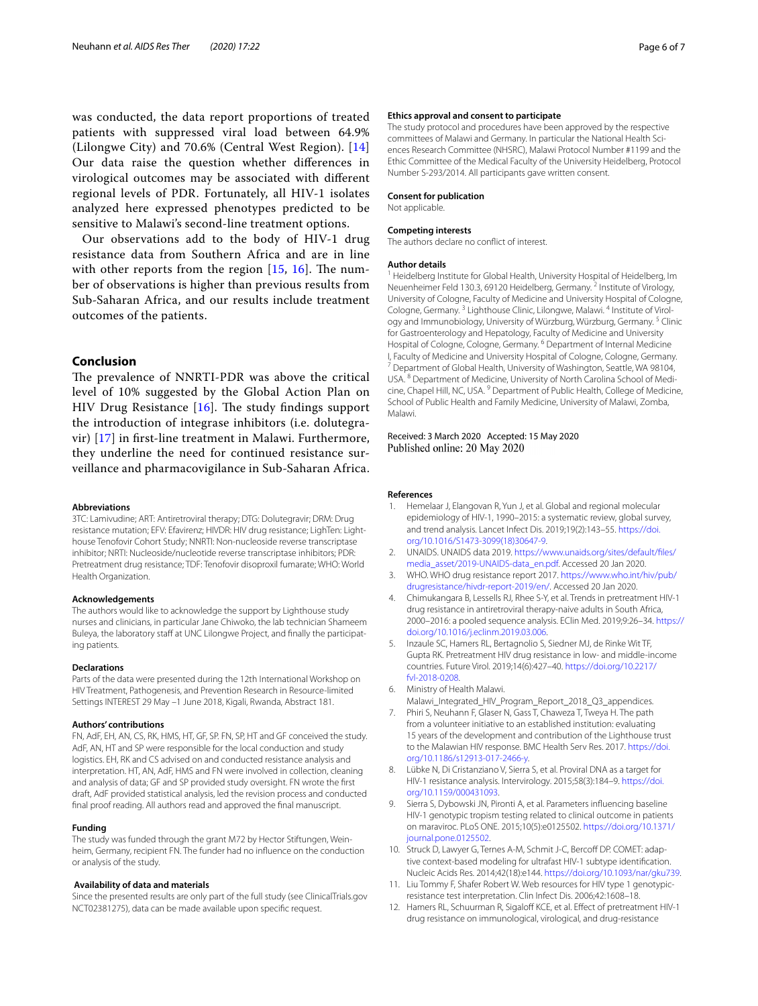was conducted, the data report proportions of treated patients with suppressed viral load between 64.9% (Lilongwe City) and 70.6% (Central West Region). [\[14](#page-6-1)] Our data raise the question whether diferences in virological outcomes may be associated with diferent regional levels of PDR. Fortunately, all HIV-1 isolates analyzed here expressed phenotypes predicted to be sensitive to Malawi's second-line treatment options.

Our observations add to the body of HIV-1 drug resistance data from Southern Africa and are in line with other reports from the region  $[15, 16]$  $[15, 16]$  $[15, 16]$  $[15, 16]$ . The number of observations is higher than previous results from Sub-Saharan Africa, and our results include treatment outcomes of the patients.

# **Conclusion**

The prevalence of NNRTI-PDR was above the critical level of 10% suggested by the Global Action Plan on HIV Drug Resistance  $[16]$  $[16]$  $[16]$ . The study findings support the introduction of integrase inhibitors (i.e. dolutegravir) [\[17\]](#page-6-4) in frst-line treatment in Malawi. Furthermore, they underline the need for continued resistance surveillance and pharmacovigilance in Sub-Saharan Africa.

#### **Abbreviations**

3TC: Lamivudine; ART: Antiretroviral therapy; DTG: Dolutegravir; DRM: Drug resistance mutation; EFV: Efavirenz; HIVDR: HIV drug resistance; LighTen: Lighthouse Tenofovir Cohort Study; NNRTI: Non-nucleoside reverse transcriptase inhibitor; NRTI: Nucleoside/nucleotide reverse transcriptase inhibitors; PDR: Pretreatment drug resistance; TDF: Tenofovir disoproxil fumarate; WHO: World Health Organization.

#### **Acknowledgements**

The authors would like to acknowledge the support by Lighthouse study nurses and clinicians, in particular Jane Chiwoko, the lab technician Shameem Buleya, the laboratory staff at UNC Lilongwe Project, and finally the participating patients.

#### **Declarations**

Parts of the data were presented during the 12th International Workshop on HIV Treatment, Pathogenesis, and Prevention Research in Resource-limited Settings INTEREST 29 May –1 June 2018, Kigali, Rwanda, Abstract 181.

#### **Authors' contributions**

FN, AdF, EH, AN, CS, RK, HMS, HT, GF, SP. FN, SP, HT and GF conceived the study. AdF, AN, HT and SP were responsible for the local conduction and study logistics. EH, RK and CS advised on and conducted resistance analysis and interpretation. HT, AN, AdF, HMS and FN were involved in collection, cleaning and analysis of data; GF and SP provided study oversight. FN wrote the frst draft, AdF provided statistical analysis, led the revision process and conducted fnal proof reading. All authors read and approved the fnal manuscript.

#### **Funding**

The study was funded through the grant M72 by Hector Stiftungen, Weinheim, Germany, recipient FN. The funder had no infuence on the conduction or analysis of the study.

#### **Availability of data and materials**

Since the presented results are only part of the full study (see ClinicalTrials.gov NCT02381275), data can be made available upon specifc request.

#### **Ethics approval and consent to participate**

The study protocol and procedures have been approved by the respective committees of Malawi and Germany. In particular the National Health Sciences Research Committee (NHSRC), Malawi Protocol Number #1199 and the Ethic Committee of the Medical Faculty of the University Heidelberg, Protocol Number S-293/2014. All participants gave written consent.

#### **Consent for publication**

Not applicable.

#### **Competing interests**

The authors declare no confict of interest.

#### **Author details**

<sup>1</sup> Heidelberg Institute for Global Health, University Hospital of Heidelberg, Im Neuenheimer Feld 130.3, 69120 Heidelberg, Germany. <sup>2</sup> Institute of Virology, University of Cologne, Faculty of Medicine and University Hospital of Cologne, Cologne, Germany. 3 Lighthouse Clinic, Lilongwe, Malawi. 4 Institute of Virology and Immunobiology, University of Würzburg, Würzburg, Germany. 5 Clinic for Gastroenterology and Hepatology, Faculty of Medicine and University Hospital of Cologne, Cologne, Germany. <sup>6</sup> Department of Internal Medicine I, Faculty of Medicine and University Hospital of Cologne, Cologne, Germany.<br><sup>7</sup> Department of Global Health, University of Washington, Seattle, WA 98104, USA. 8 Department of Medicine, University of North Carolina School of Medicine, Chapel Hill, NC, USA.<sup>9</sup> Department of Public Health, College of Medicine, School of Public Health and Family Medicine, University of Malawi, Zomba, Malawi.

# Received: 3 March 2020 Accepted: 15 May 2020 Published online: 20 May 2020

#### **References**

- <span id="page-5-0"></span>1. Hemelaar J, Elangovan R, Yun J, et al. Global and regional molecular epidemiology of HIV-1, 1990–2015: a systematic review, global survey, and trend analysis. Lancet Infect Dis. 2019;19(2):143–55. [https://doi.](https://doi.org/10.1016/S1473-3099(18)30647-9) [org/10.1016/S1473-3099\(18\)30647-9.](https://doi.org/10.1016/S1473-3099(18)30647-9)
- <span id="page-5-1"></span>2. UNAIDS. UNAIDS data 2019. [https://www.unaids.org/sites/default/fles/](https://www.unaids.org/sites/default/files/media_asset/2019-UNAIDS-data_en.pdf) [media\\_asset/2019-UNAIDS-data\\_en.pdf.](https://www.unaids.org/sites/default/files/media_asset/2019-UNAIDS-data_en.pdf) Accessed 20 Jan 2020.
- <span id="page-5-2"></span>3. WHO. WHO drug resistance report 2017. [https://www.who.int/hiv/pub/](https://www.who.int/hiv/pub/drugresistance/hivdr-report-2019/en/) [drugresistance/hivdr-report-2019/en/](https://www.who.int/hiv/pub/drugresistance/hivdr-report-2019/en/). Accessed 20 Jan 2020.
- <span id="page-5-3"></span>4. Chimukangara B, Lessells RJ, Rhee S-Y, et al. Trends in pretreatment HIV-1 drug resistance in antiretroviral therapy-naive adults in South Africa, 2000–2016: a pooled sequence analysis. EClin Med. 2019;9:26–34. [https://](https://doi.org/10.1016/j.eclinm.2019.03.006) [doi.org/10.1016/j.eclinm.2019.03.006](https://doi.org/10.1016/j.eclinm.2019.03.006).
- <span id="page-5-4"></span>5. Inzaule SC, Hamers RL, Bertagnolio S, Siedner MJ, de Rinke Wit TF, Gupta RK. Pretreatment HIV drug resistance in low- and middle-income countries. Future Virol. 2019;14(6):427–40. [https://doi.org/10.2217/](https://doi.org/10.2217/fvl-2018-0208) [fvl-2018-0208](https://doi.org/10.2217/fvl-2018-0208).
- <span id="page-5-5"></span>Ministry of Health Malawi.
- <span id="page-5-6"></span>Malawi\_Integrated\_HIV\_Program\_Report\_2018\_Q3\_appendices. 7. Phiri S, Neuhann F, Glaser N, Gass T, Chaweza T, Tweya H. The path
- from a volunteer initiative to an established institution: evaluating 15 years of the development and contribution of the Lighthouse trust to the Malawian HIV response. BMC Health Serv Res. 2017. [https://doi.](https://doi.org/10.1186/s12913-017-2466-y) [org/10.1186/s12913-017-2466-y.](https://doi.org/10.1186/s12913-017-2466-y)
- <span id="page-5-7"></span>8. Lübke N, Di Cristanziano V, Sierra S, et al. Proviral DNA as a target for HIV-1 resistance analysis. Intervirology. 2015;58(3):184–9. [https://doi.](https://doi.org/10.1159/000431093) [org/10.1159/000431093](https://doi.org/10.1159/000431093).
- <span id="page-5-8"></span>9. Sierra S, Dybowski JN, Pironti A, et al. Parameters infuencing baseline HIV-1 genotypic tropism testing related to clinical outcome in patients on maraviroc. PLoS ONE. 2015;10(5):e0125502. [https://doi.org/10.1371/](https://doi.org/10.1371/journal.pone.0125502) [journal.pone.0125502](https://doi.org/10.1371/journal.pone.0125502).
- <span id="page-5-9"></span>10. Struck D, Lawyer G, Ternes A-M, Schmit J-C, Bercoff DP. COMET: adaptive context-based modeling for ultrafast HIV-1 subtype identifcation. Nucleic Acids Res. 2014;42(18):e144. <https://doi.org/10.1093/nar/gku739>.
- <span id="page-5-10"></span>11. Liu Tommy F, Shafer Robert W. Web resources for HIV type 1 genotypicresistance test interpretation. Clin Infect Dis. 2006;42:1608–18.
- <span id="page-5-11"></span>12. Hamers RL, Schuurman R, Sigaloff KCE, et al. Effect of pretreatment HIV-1 drug resistance on immunological, virological, and drug-resistance